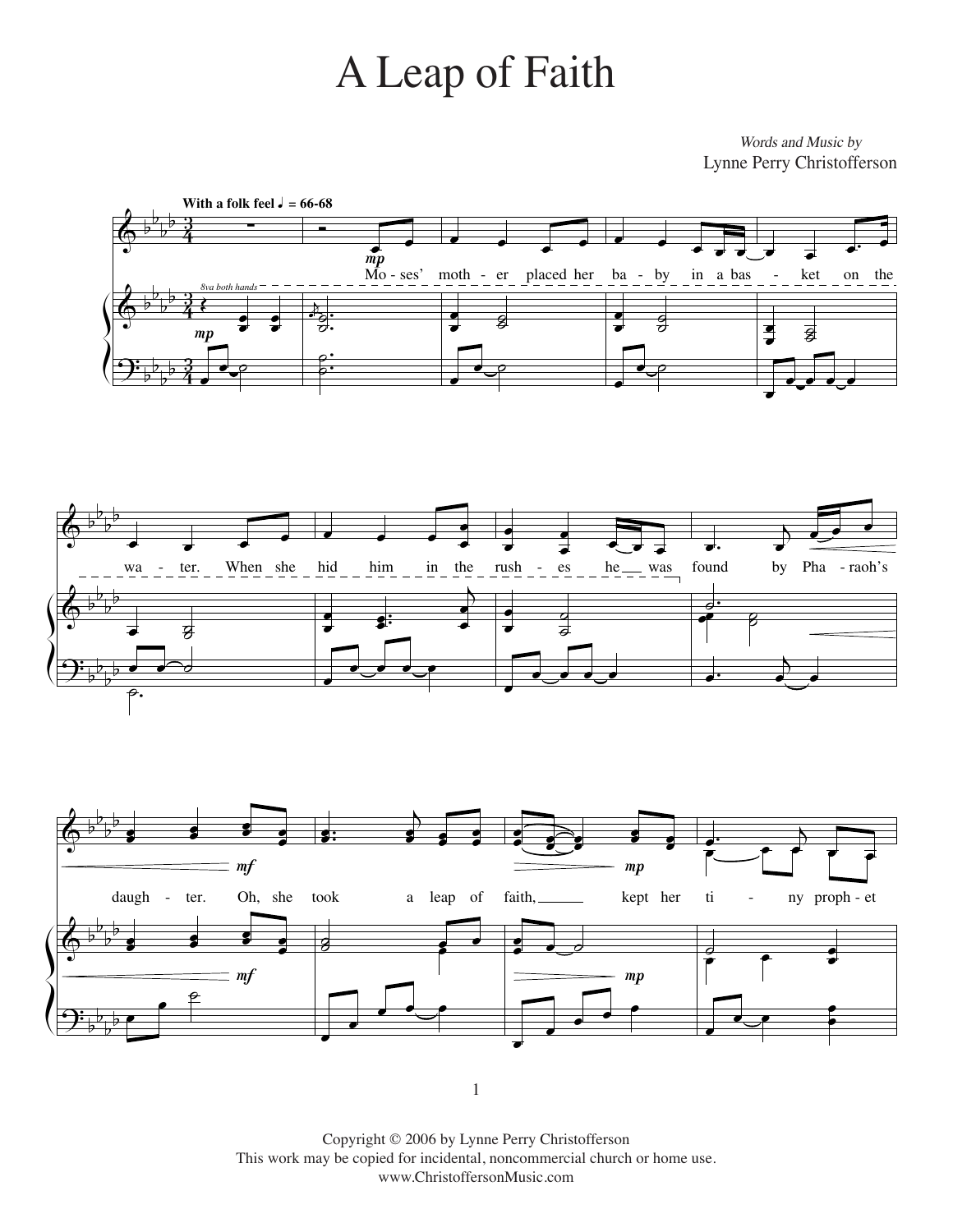## A Leap of Faith A Leap of Faith

*Words and Music by* Words and Music by Lynne Perry Christofferson Lynne Perry Christofferson







1

Copyright 2006 by Lynne Perry Christofferson Copyright © 2006 by Lynne Perry Christofferson This work may be copied for incidental, noncommercial church or home use. www.ChristoffersonMusic.com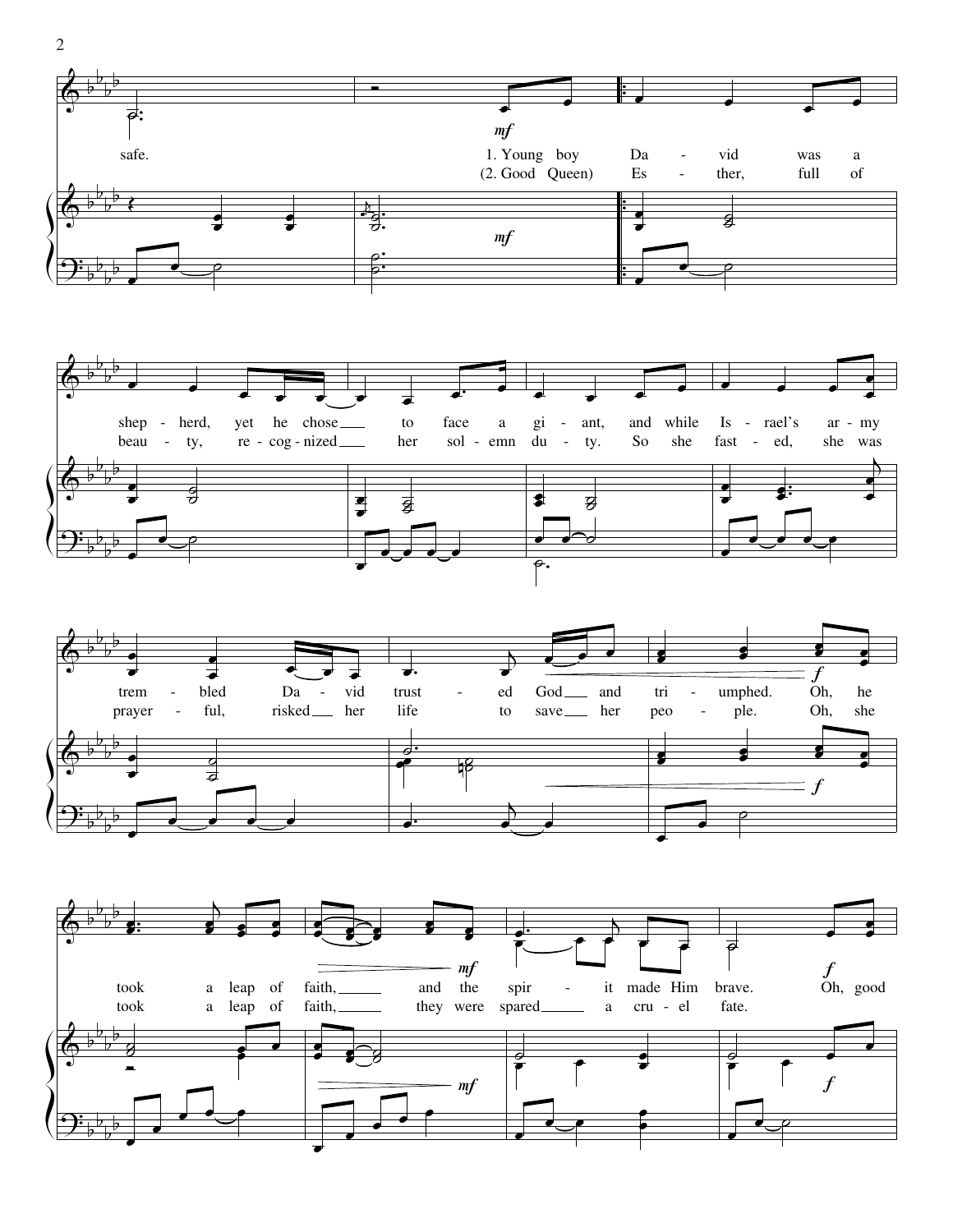